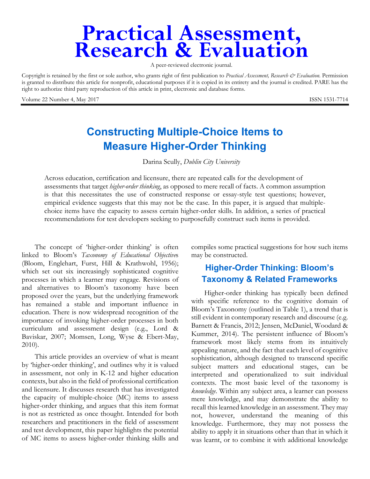# **Practical Assessment,<br>Research & Evaluation**

A peer-reviewed electronic journal.

Copyright is retained by the first or sole author, who grants right of first publication to *Practical Assessment, Research & Evaluation.* Permission is granted to distribute this article for nonprofit, educational purposes if it is copied in its entirety and the journal is credited. PARE has the right to authorize third party reproduction of this article in print, electronic and database forms.

Volume 22 Number 4, May 2017 **ISSN 1531-7714** 

## **Constructing Multiple-Choice Items to Measure Higher-Order Thinking**

Darina Scully, *Dublin City University*

Across education, certification and licensure, there are repeated calls for the development of assessments that target *higher-order thinking*, as opposed to mere recall of facts. A common assumption is that this necessitates the use of constructed response or essay-style test questions; however, empirical evidence suggests that this may not be the case. In this paper, it is argued that multiplechoice items have the capacity to assess certain higher-order skills. In addition, a series of practical recommendations for test developers seeking to purposefully construct such items is provided.

The concept of 'higher-order thinking' is often linked to Bloom's *Taxonomy of Educational Objective*s (Bloom, Englehart, Furst, Hill & Krathwohl, 1956); which set out six increasingly sophisticated cognitive processes in which a learner may engage. Revisions of and alternatives to Bloom's taxonomy have been proposed over the years, but the underlying framework has remained a stable and important influence in education. There is now widespread recognition of the importance of invoking higher-order processes in both curriculum and assessment design (e.g., Lord & Baviskar, 2007; Momsen, Long, Wyse & Ebert-May, 2010).

This article provides an overview of what is meant by 'higher-order thinking', and outlines why it is valued in assessment, not only in K-12 and higher education contexts, but also in the field of professional certification and licensure. It discusses research that has investigated the capacity of multiple-choice (MC) items to assess higher-order thinking, and argues that this item format is not as restricted as once thought. Intended for both researchers and practitioners in the field of assessment and test development, this paper highlights the potential of MC items to assess higher-order thinking skills and

compiles some practical suggestions for how such items may be constructed.

## **Higher-Order Thinking: Bloom's Taxonomy & Related Frameworks**

Higher-order thinking has typically been defined with specific reference to the cognitive domain of Bloom's Taxonomy (outlined in Table 1), a trend that is still evident in contemporary research and discourse (e.g. Barnett & Francis, 2012; Jensen, McDaniel, Woodard & Kummer, 2014). The persistent influence of Bloom's framework most likely stems from its intuitively appealing nature, and the fact that each level of cognitive sophistication, although designed to transcend specific subject matters and educational stages, can be interpreted and operationalized to suit individual contexts. The most basic level of the taxonomy is *knowledge*. Within any subject area, a learner can possess mere knowledge, and may demonstrate the ability to recall this learned knowledge in an assessment. They may not, however, understand the meaning of this knowledge. Furthermore, they may not possess the ability to apply it in situations other than that in which it was learnt, or to combine it with additional knowledge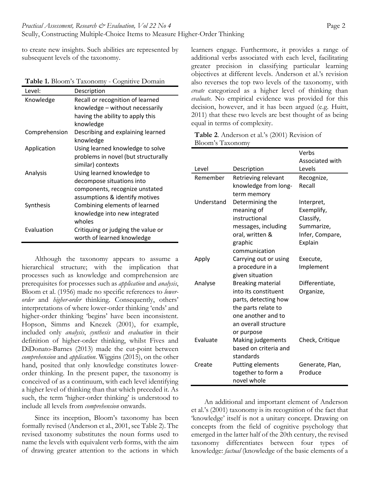to create new insights. Such abilities are represented by subsequent levels of the taxonomy.

| Level:        | Description                         |
|---------------|-------------------------------------|
| Knowledge     | Recall or recognition of learned    |
|               | knowledge – without necessarily     |
|               | having the ability to apply this    |
|               | knowledge                           |
| Comprehension | Describing and explaining learned   |
|               | knowledge                           |
| Application   | Using learned knowledge to solve    |
|               | problems in novel (but structurally |
|               | similar) contexts                   |
| Analysis      | Using learned knowledge to          |
|               | decompose situations into           |
|               | components, recognize unstated      |
|               | assumptions & identify motives      |
| Synthesis     | Combining elements of learned       |
|               | knowledge into new integrated       |
|               | wholes                              |
| Evaluation    | Critiquing or judging the value or  |
|               | worth of learned knowledge          |

| Table 1. Bloom's Taxonomy - Cognitive Domain |  |  |  |
|----------------------------------------------|--|--|--|
|----------------------------------------------|--|--|--|

Although the taxonomy appears to assume a hierarchical structure; with the implication that processes such as knowledge and comprehension are prerequisites for processes such as *application* and *analysis*, Bloom et al. (1956) made no specific references to *lowerorder* and *higher-order* thinking. Consequently, others' interpretations of where lower-order thinking 'ends' and higher-order thinking 'begins' have been inconsistent. Hopson, Simms and Knezek (2001), for example, included only *analysis*, *synthesis* and *evaluation* in their definition of higher-order thinking, whilst Fives and DiDonato-Barnes (2013) made the cut-point between *comprehension* and *application*. Wiggins (2015), on the other hand, posited that only knowledge constitutes lowerorder thinking. In the present paper, the taxonomy is conceived of as a continuum, with each level identifying a higher level of thinking than that which preceded it. As such, the term 'higher-order thinking' is understood to include all levels from *comprehension* onwards.

Since its inception, Bloom's taxonomy has been formally revised (Anderson et al., 2001, see Table 2). The revised taxonomy substitutes the noun forms used to name the levels with equivalent verb forms, with the aim of drawing greater attention to the actions in which

learners engage. Furthermore, it provides a range of additional verbs associated with each level, facilitating greater precision in classifying particular learning objectives at different levels. Anderson et al.'s revision also reverses the top two levels of the taxonomy, with *create* categorized as a higher level of thinking than *evaluate*. No empirical evidence was provided for this decision, however, and it has been argued (e.g. Huitt, 2011) that these two levels are best thought of as being equal in terms of complexity.

| Table 2. Anderson et al.'s (2001) Revision of |  |  |
|-----------------------------------------------|--|--|
| Bloom's Taxonomy                              |  |  |

|            |                          | Verbs           |
|------------|--------------------------|-----------------|
|            |                          | Associated with |
| Level      | Description              | Levels          |
| Remember   | Retrieving relevant      | Recognize,      |
|            | knowledge from long-     | Recall          |
|            | term memory              |                 |
| Understand | Determining the          | Interpret,      |
|            | meaning of               | Exemplify,      |
|            | instructional            | Classify,       |
|            | messages, including      | Summarize,      |
|            | oral, written &          | Infer, Compare, |
|            | graphic                  | Explain         |
|            | communication            |                 |
| Apply      | Carrying out or using    | Execute,        |
|            | a procedure in a         | Implement       |
|            | given situation          |                 |
| Analyse    | <b>Breaking material</b> | Differentiate,  |
|            | into its constituent     | Organize,       |
|            | parts, detecting how     |                 |
|            | the parts relate to      |                 |
|            | one another and to       |                 |
|            | an overall structure     |                 |
|            | or purpose               |                 |
| Evaluate   | Making judgements        | Check, Critique |
|            | based on criteria and    |                 |
|            | standards                |                 |
| Create     | Putting elements         | Generate, Plan, |
|            | together to form a       | Produce         |
|            | novel whole              |                 |

An additional and important element of Anderson et al.'s (2001) taxonomy is its recognition of the fact that 'knowledge' itself is not a unitary concept. Drawing on concepts from the field of cognitive psychology that emerged in the latter half of the 20th century, the revised taxonomy differentiates between four types of knowledge: *factual* (knowledge of the basic elements of a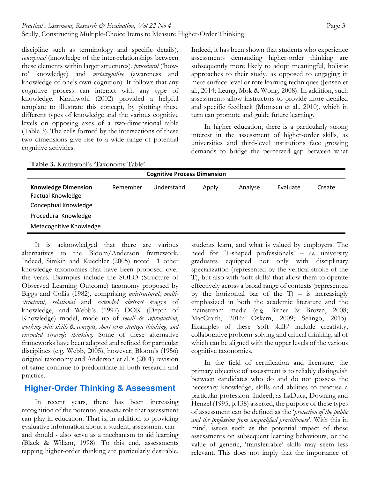discipline such as terminology and specific details), *conceptual* (knowledge of the inter-relationships between these elements within larger structures), *procedural* ('howto' knowledge) and *metacognitive* (awareness and knowledge of one's own cognition). It follows that any cognitive process can interact with any type of knowledge. Krathwohl (2002) provided a helpful template to illustrate this concept, by plotting these different types of knowledge and the various cognitive levels on opposing axes of a two-dimensional table (Table 3). The cells formed by the intersections of these two dimensions give rise to a wide range of potential cognitive activities.

Indeed, it has been shown that students who experience assessments demanding higher-order thinking are subsequently more likely to adopt meaningful, holistic approaches to their study, as opposed to engaging in mere surface-level or rote learning techniques (Jensen et al., 2014; Leung, Mok & Wong, 2008). In addition, such assessments allow instructors to provide more detailed and specific feedback (Momsen et al., 2010), which in turn can promote and guide future learning.

In higher education, there is a particularly strong interest in the assessment of higher-order skills, as universities and third-level institutions face growing demands to bridge the perceived gap between what

**Table 3.** Krathwohl's 'Taxonomy Table'

| <b>Cognitive Process Dimension</b>                     |          |            |       |         |          |        |
|--------------------------------------------------------|----------|------------|-------|---------|----------|--------|
| <b>Knowledge Dimension</b><br><b>Factual Knowledge</b> | Remember | Understand | Apply | Analyse | Evaluate | Create |
| Conceptual Knowledge                                   |          |            |       |         |          |        |
| Procedural Knowledge                                   |          |            |       |         |          |        |
| Metacognitive Knowledge                                |          |            |       |         |          |        |

It is acknowledged that there are various alternatives to the Bloom/Anderson framework. Indeed, Simkin and Kuechler (2005) noted 11 other knowledge taxonomies that have been proposed over the years. Examples include the SOLO (Structure of Observed Learning Outcome) taxonomy proposed by Biggs and Collis (1982), comprising *unistructural*, *multistructural*, *relational* and *extended abstract* stages of knowledge, and Webb's (1997) DOK (Depth of Knowledge) model, made up of *recall* & *reproduction*, *working with skills* & *concepts, short-term strategic thinking, and extended strategic thinking*. Some of these alternative frameworks have been adapted and refined for particular disciplines (e.g. Webb, 2005), however, Bloom's (1956) original taxonomy and Anderson et al.'s (2001) revision of same continue to predominate in both research and practice.

## **Higher-Order Thinking & Assessment**

In recent years, there has been increasing recognition of the potential *formative* role that assessment can play in education. That is, in addition to providing evaluative information about a student, assessment can and should - also serve as a mechanism to aid learning (Black & Wiliam, 1998). To this end, assessments tapping higher-order thinking are particularly desirable.

students learn, and what is valued by employers. The need for 'T-shaped professionals' – *i.e.* university graduates equipped not only with disciplinary specialization (represented by the vertical stroke of the T), but also with 'soft skills' that allow them to operate effectively across a broad range of contexts (represented by the horizontal bar of the  $T$ ) – is increasingly emphasized in both the academic literature and the mainstream media (e.g. Bitner & Brown, 2008; MacCraith, 2016; Oskam, 2009; Selingo, 2015). Examples of these 'soft skills' include creativity, collaborative problem-solving and critical thinking, all of which can be aligned with the upper levels of the various cognitive taxonomies.

In the field of certification and licensure, the primary objective of assessment is to reliably distinguish between candidates who do and do not possess the necessary knowledge, skills and abilities to practise a particular profession. Indeed, as LaDuca, Downing and Henzel (1995, p.138) asserted, the purpose of these types of assessment can be defined as the '*protection of the public and the profession from unqualified practitioners*'. With this in mind, issues such as the potential impact of these assessments on subsequent learning behaviours, or the value of generic, 'transferrable' skills may seem less relevant. This does not imply that the importance of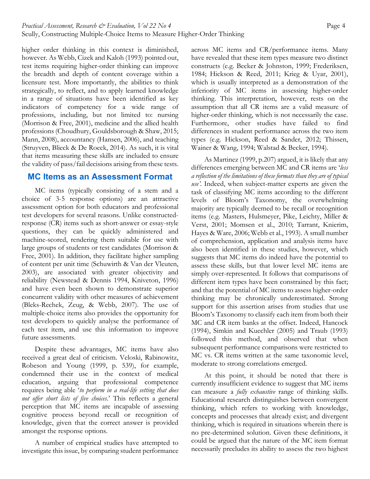higher order thinking in this context is diminished, however. As Webb, Cizek and Kaloh (1993) pointed out, test items requiring higher-order thinking can improve the breadth and depth of content coverage within a licensure test. More importantly, the abilities to think strategically, to reflect, and to apply learned knowledge in a range of situations have been identified as key indicators of competency for a wide range of professions, including, but not limited to: nursing (Morrison & Free, 2001), medicine and the allied health professions (Choudhury, Gouldsborough & Shaw, 2015; Mann, 2008), accountancy (Hansen, 2006), and teaching (Struyven, Blieck & De Roeck, 2014). As such, it is vital that items measuring these skills are included to ensure the validity of pass/fail decisions arising from these tests.

### **MC Items as an Assessment Format**

MC items (typically consisting of a stem and a choice of 3-5 response options) are an attractive assessment option for both educators and professional test developers for several reasons. Unlike constructedresponse (CR) items such as short-answer or essay-style questions, they can be quickly administered and machine-scored, rendering them suitable for use with large groups of students or test candidates (Morrison & Free, 2001). In addition, they facilitate higher sampling of content per unit time (Schuwirth & Van der Vleuten, 2003), are associated with greater objectivity and reliability (Newstead & Dennis 1994, Kniveton, 1996) and have even been shown to demonstrate superior concurrent validity with other measures of achievement (Bleks-Rechek, Zeug, & Webb, 2007). The use of multiple-choice items also provides the opportunity for test developers to quickly analyse the performance of each test item, and use this information to improve future assessments.

Despite these advantages, MC items have also received a great deal of criticism. Veloski, Rabinowitz, Robeson and Young (1999, p. 539), for example, condemned their use in the context of medical education, arguing that professional competence requires being able '*to perform in a real-life setting that does not offer short lists of five choices*.' This reflects a general perception that MC items are incapable of assessing cognitive process beyond recall or recognition of knowledge, given that the correct answer is provided amongst the response options.

A number of empirical studies have attempted to investigate this issue, by comparing student performance across MC items and CR/performance items. Many have revealed that these item types measure two distinct constructs (e.g. Becker & Johnston, 1999; Frederiksen, 1984; Hickson & Reed, 2011; Krieg & Uyar, 2001), which is usually interpreted as a demonstration of the inferiority of MC items in assessing higher-order thinking. This interpretation, however, rests on the assumption that all CR items are a valid measure of higher-order thinking, which is not necessarily the case. Furthermore, other studies have failed to find differences in student performance across the two item types (e.g. Hickson, Reed & Sander, 2012; Thissen, Wainer & Wang, 1994; Walstad & Becker, 1994).

As Martinez (1999, p.207) argued, it is likely that any differences emerging between MC and CR items are '*less a reflection of the limitations of these formats than they are of typical use'*. Indeed, when subject-matter experts are given the task of classifying MC items according to the different levels of Bloom's Taxonomy, the overwhelming majority are typically deemed to be recall or recognition items (e.g. Masters, Hulsmeyer, Pike, Leichty, Miller & Verst, 2001; Momsen et al., 2010; Tarrant, Knierim, Hayes & Ware, 2006; Webb et al., 1993). A small number of comprehension, application and analysis items have also been identified in these studies, however, which suggests that MC items do indeed have the potential to assess these skills, but that lower level MC items are simply over-represented. It follows that comparisons of different item types have been constrained by this fact; and that the potential of MC items to assess higher-order thinking may be chronically underestimated. Strong support for this assertion arises from studies that use Bloom's Taxonomy to classify each item from both their MC and CR item banks at the offset. Indeed, Hancock (1994), Simkin and Kuechler (2005) and Traub (1993) followed this method, and observed that when subsequent performance comparisons were restricted to MC vs. CR items written at the same taxonomic level, moderate to strong correlations emerged.

At this point, it should be noted that there is currently insufficient evidence to suggest that MC items can measure a *fully exhaustive* range of thinking skills. Educational research distinguishes between convergent thinking, which refers to working with knowledge, concepts and processes that already exist; and divergent thinking, which is required in situations wherein there is no pre-determined solution. Given these definitions, it could be argued that the nature of the MC item format necessarily precludes its ability to assess the two highest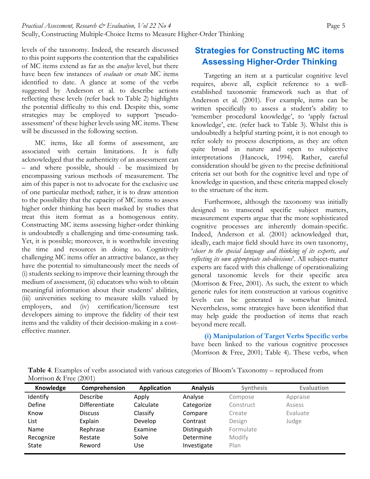levels of the taxonomy. Indeed, the research discussed to this point supports the contention that the capabilities of MC items extend as far as the *analyse* level, but there have been few instances of *evaluate* or *create* MC items identified to date. A glance at some of the verbs suggested by Anderson et al. to describe actions reflecting these levels (refer back to Table 2) highlights the potential difficulty to this end. Despite this, some strategies may be employed to support 'pseudoassessment' of these higher levels using MC items. These will be discussed in the following section.

MC items, like all forms of assessment, are associated with certain limitations. It is fully acknowledged that the authenticity of an assessment can – and where possible, should - be maximized by encompassing various methods of measurement. The aim of this paper is not to advocate for the exclusive use of one particular method; rather, it is to draw attention to the possibility that the capacity of MC items to assess higher order thinking has been masked by studies that treat this item format as a homogenous entity. Constructing MC items assessing higher-order thinking is undoubtedly a challenging and time-consuming task. Yet, it is possible; moreover, it is worthwhile investing the time and resources in doing so. Cognitively challenging MC items offer an attractive balance, as they have the potential to simultaneously meet the needs of (i) students seeking to improve their learning through the medium of assessment, (ii) educators who wish to obtain meaningful information about their students' abilities, (iii) universities seeking to measure skills valued by employers, and (iv) certification/licensure test developers aiming to improve the fidelity of their test items and the validity of their decision-making in a costeffective manner.

## **Strategies for Constructing MC items Assessing Higher-Order Thinking**

Targeting an item at a particular cognitive level requires, above all, explicit reference to a wellestablished taxonomic framework such as that of Anderson et al. (2001). For example, items can be written specifically to assess a student's ability to 'remember procedural knowledge', to 'apply factual knowledge', etc. (refer back to Table 3). Whilst this is undoubtedly a helpful starting point, it is not enough to refer solely to process descriptions, as they are often quite broad in nature and open to subjective interpretations (Hancock, 1994). Rather, careful consideration should be given to the precise definitional criteria set out both for the cognitive level and type of knowledge in question, and these criteria mapped closely to the structure of the item.

Furthermore, although the taxonomy was initially designed to transcend specific subject matters, measurement experts argue that the more sophisticated cognitive processes are inherently domain-specific. Indeed, Anderson et al. (2001) acknowledged that, ideally, each major field should have its own taxonomy, '*closer to the special language and thinking of its experts, and reflecting its own appropriate sub-divisions*'. All subject-matter experts are faced with this challenge of operationalizing general taxonomic levels for their specific area (Morrison & Free, 2001). As such, the extent to which generic rules for item construction at various cognitive levels can be generated is somewhat limited. Nevertheless, some strategies have been identified that may help guide the production of items that reach beyond mere recall.

**(i) Manipulation of Target Verbs Specific verbs** have been linked to the various cognitive processes (Morrison & Free, 2001; Table 4). These verbs, when

**Table 4**. Examples of verbs associated with various categories of Bloom's Taxonomy – reproduced from Morrison & Free (2001)

| Knowledge | Comprehension   | <b>Application</b> | <b>Analysis</b> | <b>Synthesis</b> | <b>Evaluation</b> |
|-----------|-----------------|--------------------|-----------------|------------------|-------------------|
| Identify  | <b>Describe</b> | Apply              | Analyse         | Compose          | Appraise          |
| Define    | Differentiate   | Calculate          | Categorize      | Construct        | Assess            |
| Know      | <b>Discuss</b>  | Classify           | Compare         | Create           | Evaluate          |
| List      | Explain         | Develop            | Contrast        | Design           | Judge             |
| Name      | Rephrase        | Examine            | Distinguish     | Formulate        |                   |
| Recognize | Restate         | Solve              | Determine       | Modify           |                   |
| State     | Reword          | Use                | Investigate     | Plan             |                   |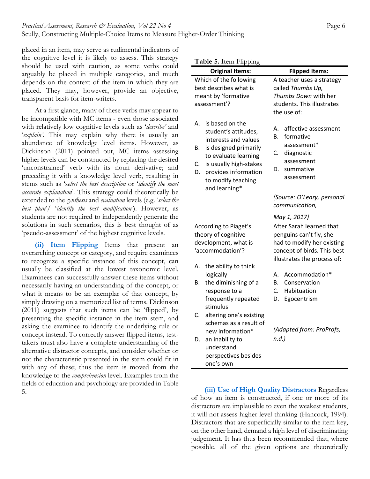placed in an item, may serve as rudimental indicators of the cognitive level it is likely to assess. This strategy should be used with caution, as some verbs could arguably be placed in multiple categories, and much depends on the context of the item in which they are placed. They may, however, provide an objective, transparent basis for item-writers.

At a first glance, many of these verbs may appear to be incompatible with MC items - even those associated with relatively low cognitive levels such as '*describe'* and '*explain'*. This may explain why there is usually an abundance of knowledge level items. However, as Dickinson (2011) pointed out, MC items assessing higher levels can be constructed by replacing the desired 'unconstrained' verb with its noun derivative; and preceding it with a knowledge level verb, resulting in stems such as 's*elect the best description* or '*identify the most accurate explanation*'. This strategy could theoretically be extended to the *synthesis* and *evaluation* levels (e.g. '*select the best plan*'/ '*identify the best modification'*). However, as students are not required to independently generate the solutions in such scenarios, this is best thought of as 'pseudo-assessment' of the highest cognitive levels.

**(ii) Item Flipping** Items that present an overarching concept or category, and require examinees to recognize a specific instance of this concept, can usually be classified at the lowest taxonomic level. Examinees can successfully answer these items without necessarily having an understanding of the concept, or what it means to be an exemplar of that concept, by simply drawing on a memorized list of terms. Dickinson (2011) suggests that such items can be 'flipped', by presenting the specific instance in the item stem, and asking the examinee to identify the underlying rule or concept instead. To correctly answer flipped items, testtakers must also have a complete understanding of the alternative distractor concepts, and consider whether or not the characteristic presented in the stem could fit in with any of these; thus the item is moved from the knowledge to the *comprehension* level. Examples from the fields of education and psychology are provided in Table 5.

| <b>Original Items:</b><br>Which of the following                                                                                                                                                                                  | <b>Flipped Items:</b><br>A teacher uses a strategy                                                                                              |
|-----------------------------------------------------------------------------------------------------------------------------------------------------------------------------------------------------------------------------------|-------------------------------------------------------------------------------------------------------------------------------------------------|
| best describes what is<br>meant by 'formative<br>assessment'?                                                                                                                                                                     | called Thumbs Up,<br>Thumbs Down with her<br>students. This illustrates<br>the use of:                                                          |
| is based on the<br>А.<br>student's attitudes,<br>interests and values<br>is designed primarily<br>В.<br>to evaluate learning<br>is usually high-stakes<br>C.<br>D.<br>provides information<br>to modify teaching<br>and learning* | affective assessment<br>А.<br>В.<br>formative<br>assessment*<br>diagnostic<br>C.<br>assessment<br>summative<br>D.<br>assessment                 |
|                                                                                                                                                                                                                                   | (Source: O'Leary, personal<br>communication,                                                                                                    |
| According to Piaget's<br>theory of cognitive<br>development, what is<br>'accommodation'?                                                                                                                                          | After Sarah learned that<br>penguins can't fly, she<br>had to modify her existing<br>concept of birds. This best<br>illustrates the process of: |
| the ability to think<br>А.<br>logically<br>the diminishing of a<br>В.<br>response to a<br>frequently repeated<br>stimulus                                                                                                         | Accommodation*<br>А.<br>Conservation<br>В.<br>C.<br>Habituation<br>D.<br>Egocentrism                                                            |
| altering one's existing<br>C.<br>schemas as a result of<br>new information*<br>an inability to<br>D.<br>understand<br>perspectives besides<br>one's own                                                                           | (Adapted from: ProProfs,<br>$n.d.$ )                                                                                                            |

of how an item is constructed, if one or more of its distractors are implausible to even the weakest students, it will not assess higher level thinking (Hancock, 1994). Distractors that are superficially similar to the item key, on the other hand, demand a high level of discriminating judgement. It has thus been recommended that, where possible, all of the given options are theoretically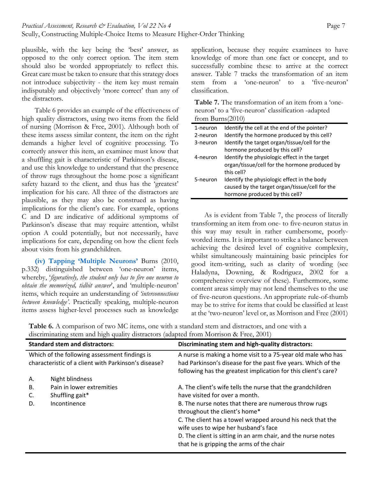plausible, with the key being the 'best' answer, as opposed to the only correct option. The item stem should also be worded appropriately to reflect this. Great care must be taken to ensure that this strategy does not introduce subjectivity - the item key must remain indisputably and objectively 'more correct' than any of the distractors.

Table 6 provides an example of the effectiveness of high quality distractors, using two items from the field of nursing (Morrison & Free, 2001). Although both of these items assess similar content, the item on the right demands a higher level of cognitive processing. To correctly answer this item, an examinee must know that a shuffling gait is characteristic of Parkinson's disease, and use this knowledge to understand that the presence of throw rugs throughout the home pose a significant safety hazard to the client, and thus has the 'greatest' implication for his care. All three of the distractors are plausible, as they may also be construed as having implications for the client's care. For example, options C and D are indicative of additional symptoms of Parkinson's disease that may require attention, whilst option A could potentially, but not necessarily, have implications for care, depending on how the client feels about visits from his grandchildren.

**(iv) Tapping 'Multiple Neurons'** Burns (2010, p.332) distinguished between 'one-neuron' items, whereby, '*figuratively, the student only has to fire one neuron to obtain the memorized, tidbit answer*', and 'multiple-neuron' items, which require an understanding of *'interconnections between knowledge'*. Practically speaking, multiple-neuron items assess higher-level processes such as knowledge

application, because they require examinees to have knowledge of more than one fact or concept, and to successfully combine these to arrive at the correct answer. Table 7 tracks the transformation of an item stem from a 'one-neuron' to a 'five-neuron' classification.

| <b>Table 7.</b> The transformation of an item from a 'one- |
|------------------------------------------------------------|
| neuron' to a 'five-neuron' classification -adapted         |
| from Burns $(2010)$                                        |

| 1-neuron | Identify the cell at the end of the pointer?   |
|----------|------------------------------------------------|
| 2-neuron | Identify the hormone produced by this cell?    |
| 3-neuron | Identify the target organ/tissue/cell for the  |
|          | hormone produced by this cell?                 |
| 4-neuron | Identify the physiologic effect in the target  |
|          | organ/tissue/cell for the hormone produced by  |
|          | this cell?                                     |
| 5-neuron | Identify the physiologic effect in the body    |
|          | caused by the target organ/tissue/cell for the |
|          | hormone produced by this cell?                 |
|          |                                                |

As is evident from Table 7, the process of literally transforming an item from one- to five-neuron status in this way may result in rather cumbersome, poorlyworded items. It is important to strike a balance between achieving the desired level of cognitive complexity, whilst simultaneously maintaining basic principles for good item-writing, such as clarity of wording (see Haladyna, Downing, & Rodriguez, 2002 for a comprehensive overview of these). Furthermore, some content areas simply may not lend themselves to the use of five-neuron questions. An appropriate rule-of-thumb may be to strive for items that could be classified at least at the 'two-neuron' level or, as Morrison and Free (2001)

**Table 6.** A comparison of two MC items, one with a standard stem and distractors, and one with a discriminating stem and high quality distractors (adapted from Morrison & Free, 2001)

|    | <b>Standard stem and distractors:</b>                | Discriminating stem and high-quality distractors:                                                                               |
|----|------------------------------------------------------|---------------------------------------------------------------------------------------------------------------------------------|
|    | Which of the following assessment findings is        | A nurse is making a home visit to a 75-year old male who has                                                                    |
|    | characteristic of a client with Parkinson's disease? | had Parkinson's disease for the past five years. Which of the<br>following has the greatest implication for this client's care? |
| Α. | Night blindness                                      |                                                                                                                                 |
| В. | Pain in lower extremities                            | A. The client's wife tells the nurse that the grandchildren                                                                     |
| C. | Shuffling gait*                                      | have visited for over a month.                                                                                                  |
| D. | Incontinence                                         | B. The nurse notes that there are numerous throw rugs<br>throughout the client's home*                                          |
|    |                                                      | C. The client has a towel wrapped around his neck that the                                                                      |
|    |                                                      | wife uses to wipe her husband's face                                                                                            |
|    |                                                      | D. The client is sitting in an arm chair, and the nurse notes                                                                   |
|    |                                                      | that he is gripping the arms of the chair                                                                                       |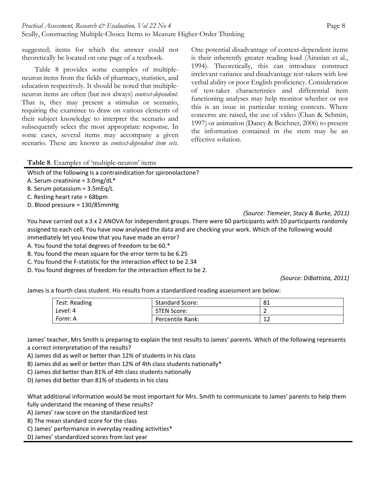One potential disadvantage of context-dependent items is their inherently greater reading load (Airasian et al., 1994). Theoretically, this can introduce construct irrelevant variance and disadvantage test-takers with low verbal ability or poor English proficiency. Consideration of test-taker characteristics and differential item functioning analyses may help monitor whether or not this is an issue in particular testing contexts. Where concerns are raised, the use of video (Chan & Schmitt, 1997) or animation (Dancy & Beichner, 2006) to present the information contained in the stem may be an effective solution.

suggested; items for which the answer could not theoretically be located on one page of a textbook.

Table 8 provides some examples of multipleneuron items from the fields of pharmacy, statistics, and education respectively. It should be noted that multipleneuron items are often (but not always) *context-dependent*. That is, they may present a stimulus or scenario, requiring the examinee to draw on various elements of their subject knowledge to interpret the scenario and subsequently select the most appropriate response. In some cases, several items may accompany a given scenario. These are known as *context-dependent item sets*.

**Table 8**. Examples of 'multiple-neuron' items

Which of the following is a contraindication for spironolactone?

A. Serum creatinine =  $3.0$ mg/dL\*

B. Serum potassium = 3.5mEq/L

C. Resting heart rate = 68bpm

D. Blood pressure = 130/85mmHg

*(Source: Tiemeier, Stacy & Burke, 2011)*

You have carried out a 3 x 2 ANOVA for independent groups. There were 60 participants with 10 participants randomly assigned to each cell. You have now analysed the data and are checking your work. Which of the following would immediately let you know that you have made an error?

A. You found the total degrees of freedom to be 60.\*

B. You found the mean square for the error term to be 6.25

C. You found the F‐statistic for the interaction effect to be 2.34

D. You found degrees of freedom for the interaction effect to be 2.

 *(Source: DiBattista, 2011)*

James is a fourth class student. His results from a standardized reading assessment are below:

| Test: Reading | <b>Standard Score:</b> | -81          |
|---------------|------------------------|--------------|
| Level: 4      | STEN Score:            | -            |
| Form: A       | Percentile Rank:       | $\sim$<br>∸∸ |

James' teacher, Mrs Smith is preparing to explain the test results to James' parents. Which of the following represents a correct interpretation of the results?

A) James did as well or better than 12% of students in his class

B) James did as well or better than 12% of 4th class students nationally\*

C) James did better than 81% of 4th class students nationally

D) James did better than 81% of students in his class

What additional information would be most important for Mrs. Smith to communicate to James' parents to help them fully understand the meaning of these results?

A) James' raw score on the standardized test

B) The mean standard score for the class

C) James' performance in everyday reading activities\*

D) James' standardized scores from last year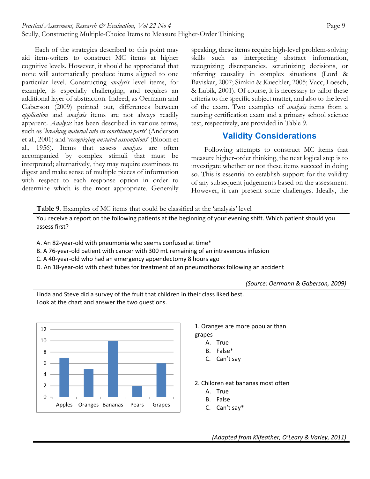Each of the strategies described to this point may aid item-writers to construct MC items at higher cognitive levels. However, it should be appreciated that none will automatically produce items aligned to one particular level. Constructing *analysis* level items, for example, is especially challenging, and requires an additional layer of abstraction. Indeed, as Oermann and Gaberson (2009) pointed out, differences between *application* and *analysis* items are not always readily apparent. *Analysis* has been described in various terms, such as '*breaking material into its constituent parts*' (Anderson et al., 2001) and '*recognizing unstated assumptions*' (Bloom et al., 1956). Items that assess *analysis* are often accompanied by complex stimuli that must be interpreted; alternatively, they may require examinees to digest and make sense of multiple pieces of information with respect to each response option in order to determine which is the most appropriate. Generally

speaking, these items require high-level problem-solving skills such as interpreting abstract information, recognizing discrepancies, scrutinizing decisions, or inferring causality in complex situations (Lord & Baviskar, 2007; Simkin & Kuechler, 2005; Vacc, Loesch, & Lubik, 2001). Of course, it is necessary to tailor these criteria to the specific subject matter, and also to the level of the exam. Two examples of *analysis* items from a nursing certification exam and a primary school science test, respectively, are provided in Table 9.

## **Validity Considerations**

Following attempts to construct MC items that measure higher-order thinking, the next logical step is to investigate whether or not these items succeed in doing so. This is essential to establish support for the validity of any subsequent judgements based on the assessment. However, it can present some challenges. Ideally, the

**Table 9**. Examples of MC items that could be classified at the 'analysis' level

You receive a report on the following patients at the beginning of your evening shift. Which patient should you assess first?

A. An 82‐year‐old with pneumonia who seems confused at time\*

B. A 76‐year‐old patient with cancer with 300 mL remaining of an intravenous infusion

C. A 40‐year‐old who had an emergency appendectomy 8 hours ago

D. An 18‐year‐old with chest tubes for treatment of an pneumothorax following an accident

*(Source: Oermann & Gaberson, 2009)*

Linda and Steve did a survey of the fruit that children in their class liked best. Look at the chart and answer the two questions.



- 1. Oranges are more popular than grapes
	- A. True
	- B. False\*
	- C. Can't say

2. Children eat bananas most often

- A. True
- B. False
- C. Can't say\*

*(Adapted from Kilfeather, O'Leary & Varley, 2011)*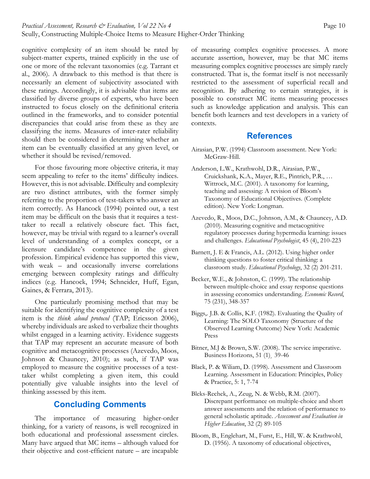cognitive complexity of an item should be rated by subject-matter experts, trained explicitly in the use of one or more of the relevant taxonomies (e.g. Tarrant et al., 2006). A drawback to this method is that there is necessarily an element of subjectivity associated with these ratings. Accordingly, it is advisable that items are classified by diverse groups of experts, who have been instructed to focus closely on the definitional criteria outlined in the frameworks, and to consider potential discrepancies that could arise from these as they are classifying the items. Measures of inter-rater reliability should then be considered in determining whether an item can be eventually classified at any given level, or whether it should be revised/removed.

For those favouring more objective criteria, it may seem appealing to refer to the items' difficulty indices. However, this is not advisable. Difficulty and complexity are two distinct attributes, with the former simply referring to the proportion of test-takers who answer an item correctly. As Hancock (1994) pointed out, a test item may be difficult on the basis that it requires a testtaker to recall a relatively obscure fact. This fact, however, may be trivial with regard to a learner's overall level of understanding of a complex concept, or a licensure candidate's competence in the given profession. Empirical evidence has supported this view, with weak – and occasionally inverse correlations emerging between complexity ratings and difficulty indices (e.g. Hancock, 1994; Schneider, Huff, Egan, Gaines, & Ferrara, 2013).

One particularly promising method that may be suitable for identifying the cognitive complexity of a test item is the *think aloud protocol* (TAP; Ericsson 2006), whereby individuals are asked to verbalize their thoughts whilst engaged in a learning activity. Evidence suggests that TAP may represent an accurate measure of both cognitive and metacognitive processes (Azevedo, Moos, Johnson & Chauncey, 2010); as such, if TAP was employed to measure the cognitive processes of a testtaker whilst completing a given item, this could potentially give valuable insights into the level of thinking assessed by this item.

#### **Concluding Comments**

The importance of measuring higher-order thinking, for a variety of reasons, is well recognized in both educational and professional assessment circles. Many have argued that MC items – although valued for their objective and cost-efficient nature – are incapable of measuring complex cognitive processes. A more accurate assertion, however, may be that MC items measuring complex cognitive processes are simply rarely constructed. That is, the format itself is not necessarily restricted to the assessment of superficial recall and recognition. By adhering to certain strategies, it is possible to construct MC items measuring processes such as knowledge application and analysis. This can benefit both learners and test developers in a variety of contexts.

#### **References**

- Airasian, P.W. (1994) Classroom assessment. New York: McGraw-Hill.
- Anderson, L.W., Krathwohl, D.R., Airasian, P.W., Cruickshank, K.A., Mayer, R.E., Pintrich, P.R., … Wittrock, M.C. (2001). A taxonomy for learning, teaching and assessing: A revision of Bloom's Taxonomy of Educational Objectives. (Complete edition). New York: Longman.
- Azevedo, R., Moos, D.C., Johnson, A.M., & Chauncey, A.D. (2010). Measuring cognitive and metacognitive regulatory processes during hypermedia learning: issues and challenges. *Educational Psychologist*, 45 (4), 210-223
- Barnett, J. E & Francis, A.L. (2012). Using higher order thinking questions to foster critical thinking: a classroom study*. Educational Psychology*, 32 (2) 201-211.
- Becker, W.E., & Johnston, C. (1999). The relationship between multiple-choice and essay response questions in assessing economics understanding. *Economic Record*, 75 (231), 348-357
- Biggs,. J.B. & Collis, K.F. (1982). Evaluating the Quality of Learning: The SOLO Taxonomy (Structure of the Observed Learning Outcome) New York: Academic Press
- Bitner, M.J & Brown, S.W. (2008). The service imperative. Business Horizons, 51 (1)¸ 39-46
- Black, P. & Wiliam, D. (1998). Assessment and Classroom Learning. Assessment in Education: Principles, Policy & Practice, 5: 1, 7-74
- Bleks-Rechek, A., Zeug, N. & Webb, R.M. (2007). Discrepant performance on multiple-choice and short answer assessments and the relation of performance to general scholastic aptitude. *Assessment and Evaluation in Higher Education*, 32 (2) 89-105
- Bloom, B., Englehart, M., Furst, E., Hill, W. & Krathwohl, D. (1956). A taxonomy of educational objectives,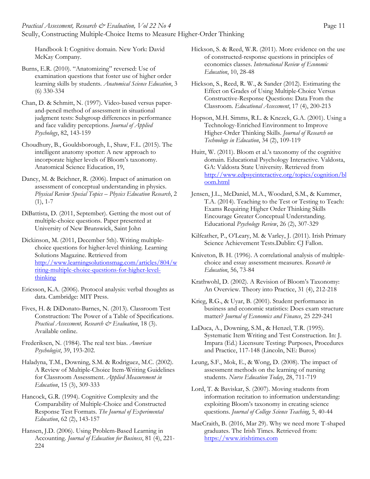*Practical Assessment, Research & Evaluation, Vol 22 No 4* Page 11 Scully, Constructing Multiple-Choice Items to Measure Higher-Order Thinking

> Hickson, S. & Reed, W.R. (2011). More evidence on the use of constructed-response questions in principles of economics classes. *International Review of Economic*

> > *Education*, 10, 28-48

Burns, E.R. (2010). "Anatomizing" reversed: Use of examination questions that foster use of higher order learning skills by students. *Anatomical Science Education*, 3 (6) 330-334

Handbook I: Cognitive domain. New York: David

McKay Company.

Chan, D. & Schmitt, N. (1997). Video-based versus paperand-pencil method of assessment in situational judgment tests: Subgroup differences in performance and face validity perceptions. *Journal of Applied Psychology*, 82, 143-159

Choudhury, B., Gouldsborough, I., Shaw, F.L. (2015). The intelligent anatomy spotter: A new approach to incorporate higher levels of Bloom's taxonomy. Anatomical Science Education, 19,

Dancy, M. & Beichner, R. (2006). Impact of animation on assessment of conceptual understanding in physics. *Physical Review Special Topics – Physics Education Research*, 2  $(1), 1-7$ 

DiBattista, D. (2011, September). Getting the most out of multiple-choice questions. Paper presented at University of New Brunswick, Saint John

Dickinson, M. (2011, December 5th). Writing multiplechoice questions for higher-level thinking. Learning Solutions Magazine. Retrieved from http://www.learningsolutionsmag.com/articles/804/w riting-multiple-choice-questions-for-higher-levelthinking

Ericsson, K.A. (2006). Protocol analysis: verbal thoughts as data. Cambridge: MIT Press.

Fives, H. & DiDonato-Barnes, N. (2013). Classroom Test Construction: The Power of a Table of Specifications. *Practical Assessment, Research & Evaluation*, 18 (3). Available online.

Frederiksen, N. (1984). The real test bias. *American Psychologist*, 39, 193-202.

Haladyna, T.M., Downing, S.M. & Rodriguez, M.C. (2002). A Review of Multiple-Choice Item-Writing Guidelines for Classroom Assessment. *Applied Measurement in Education*, 15 (3), 309-333

Hancock, G.R. (1994). Cognitive Complexity and the Comparability of Multiple-Choice and Constructed Response Test Formats. *The Journal of Experimental Education*, 62 (2), 143-157

Hansen, J.D. (2006). Using Problem-Based Learning in Accounting. *Journal of Education for Business*, 81 (4), 221- 224

Hickson, S., Reed, R. W., & Sander (2012). Estimating the Effect on Grades of Using Multiple-Choice Versus Constructive-Response Questions: Data From the Classroom. *Educational Assessment*, 17 (4), 200-213

Hopson, M.H. Simms, R.L. & Knezek, G.A. (2001). Using a Technology-Enriched Environment to Improve Higher-Order Thinking Skills. *Journal of Research on Technology in Education*, 34 (2), 109-119

Huitt, W. (2011). Bloom et al.'s taxonomy of the cognitive domain. Educational Psychology Interactive. Valdosta, GA: Valdosta State University. Retrieved from http://www.edpsycinteractive.org/topics/cognition/bl oom.html

Jensen, J.L., McDaniel, M.A., Woodard, S.M., & Kummer, T.A. (2014). Teaching to the Test or Testing to Teach: Exams Requiring Higher Order Thinking Skills Encourage Greater Conceptual Understanding. Educational *Psychology Review*, 26 (2), 307-329

Kilfeather, P., O'Leary, M. & Varley, J. (2011). Irish Primary Science Achievement Tests.Dublin: CJ Fallon.

Kniveton, B. H. (1996). A correlational analysis of multiplechoice and essay assessment measures. *Research in Education*, 56, 73-84

Krathwohl, D. (2002). A Revision of Bloom's Taxonomy: An Overview. Theory into Practice, 31 (4), 212-218

Krieg, R.G., & Uyar, B. (2001). Student performance in business and economic statistics: Does exam structure matter? *Journal of Economics and Finance*, 25 229-241

LaDuca, A., Downing, S.M., & Henzel, T.R. (1995). Systematic Item Writing and Test Construction. In: J. Impara (Ed.) Licensure Testing: Purposes, Procedures and Practice, 117-148 (Lincoln, NE: Buros)

Leung, S.F., Mok, E., & Wong, D. (2008). The impact of assessment methods on the learning of nursing students. *Nurse Education Today*, 28, 711-719

Lord, T. & Baviskar, S. (2007). Moving students from information recitation to information understanding: exploiting Bloom's taxonomy in creating science questions. *Journal of College Science Teaching*, 5, 40-44

MacCraith, B. (2016, Mar 29). Why we need more T-shaped graduates. The Irish Times. Retrieved from: https://www.irishtimes.com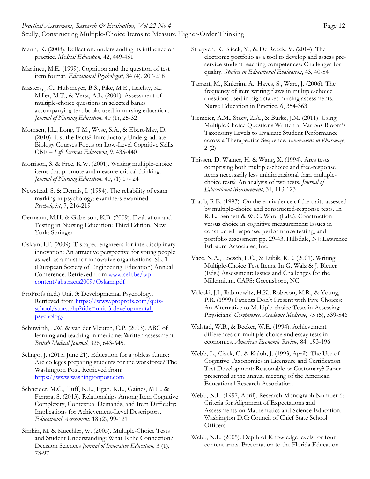Mann, K. (2008). Reflection: understanding its influence on practice. *Medical Education*, 42, 449-451

Martinez, M.E. (1999). Cognition and the question of test item format. *Educational Psychologist*, 34 (4), 207-218

Masters, J.C., Hulsmeyer, B.S., Pike, M.E., Leichty, K., Miller, M.T., & Verst, A.L. (2001). Assessment of multiple-choice questions in selected banks accompanying text books used in nursing education. *Journal of Nursing Education*, 40 (1), 25-32

Momsen, J.L., Long, T.M., Wyse, S.A., & Ebert-May, D. (2010). Just the Facts? Introductory Undergraduate Biology Courses Focus on Low-Level Cognitive Skills. CBE – *Life Sciences Education*, 9, 435-440

Morrison, S. & Free, K.W. (2001). Writing multiple-choice items that promote and measure critical thinking. *Journal of Nursing Education*, 40, (1) 17- 24

Newstead, S. & Dennis, I. (1994). The reliability of exam marking in psychology: examiners examined. *Psychologist*, 7, 216-219

Oermann, M.H. & Gaberson, K.B. (2009). Evaluation and Testing in Nursing Education: Third Edition. New York: Springer

Oskam, I.F. (2009). T-shaped engineers for interdisciplinary innovation: An attractive perspective for young people as well as a must for innovative organizations. SEFI (European Society of Engineering Education) Annual Conference. Retrieved from www.sefi.be/wpcontent/abstracts2009/Oskam.pdf

ProProfs (n.d.) Unit 3: Developmental Psychology. Retrieved from https://www.proprofs.com/quizschool/story.php?title=unit-3-developmentalpsychology

Schuwirth, L.W. & van der Vleuten, C.P. (2003). ABC of learning and teaching in medicine: Written assessment. *British Medical Journal*, 326, 643-645.

Selingo, J. (2015, June 21). Education for a jobless future: Are colleges preparing students for the workforce? The Washington Post. Retrieved from: https://www.washingtonpost.com

Schneider, M.C., Huff, K.L., Egan, K.L., Gaines, M.L., & Ferrara, S. (2013). Relationships Among Item Cognitive Complexity, Contextual Demands, and Item Difficulty: Implications for Achievement-Level Descriptors. *Educational Assessment*, 18 (2), 99-121

Simkin, M. & Kuechler, W. (2005). Multiple-Choice Tests and Student Understanding: What Is the Connection? Decision Sciences *Journal of Innovative Education*, 3 (1), 73-97

Struyven, K, Blieck, Y., & De Roeck, V. (2014). The electronic portfolio as a tool to develop and assess preservice student teaching competences: Challenges for quality. *Studies in Educational Evaluation*, 43, 40-54

Tarrant, M., Knierim, A., Hayes, S., Ware, J. (2006). The frequency of item writing flaws in multiple-choice questions used in high stakes nursing assessments. Nurse Education in Practice, 6, 354-363

Tiemeier, A.M., Stacy, Z.A., & Burke, J.M. (2011). Using Multiple Choice Questions Written at Various Bloom's Taxonomy Levels to Evaluate Student Performance across a Therapeutics Sequence*. Innovations in Pharmacy*, 2 (2)

Thissen, D. Wainer, H. & Wang, X. (1994). Ares tests comprising both multiple-choice and free-response items necessarily less unidimensional than multiplechoice tests? An analysis of two tests. *Journal of Educational Measurement*, 31, 113-123

Traub, R.E. (1993). On the equivalence of the traits assessed by multiple-choice and constructed-response tests. In R. E. Bennett & W. C. Ward (Eds.), Construction versus choice in cognitive measurement: Issues in constructed response, performance testing, and portfolio assessment pp. 29-43. Hillsdale, NJ: Lawrence Erlbaum Associates, Inc.

Vacc, N.A., Loesch, L.C., & Lubik, R.E. (2001). Writing Multiple-Choice Test Items. In G. Walz & J. Bleuer (Eds.) Assessment: Issues and Challenges for the Millennium. CAPS: Greensboro, NC

Veloski, J.J., Rabinowitz, H.K., Robeson, M.R., & Young, P.R. (1999) Patients Don't Present with Five Choices: An Alternative to Multiple-choice Tests in Assessing Physicians' *Competence. Academic Medicine*, 75 (5), 539-546

Walstad, W.B., & Becker, W.E. (1994). Achievement differences on multiple-choice and essay tests in economics*. American Economic Review*, 84, 193-196

Webb, L., Cizek, G. & Kaloh, J. (1993, April). The Use of Cognitive Taxonomies in Licensure and Certification Test Development: Reasonable or Customary? Paper presented at the annual meeting of the American Educational Research Association.

Webb, N.L. (1997, April). Research Monograph Number 6: Criteria for Alignment of Expectations and Assessments on Mathematics and Science Education. Washington D.C: Council of Chief State School Officers.

Webb, N.L. (2005). Depth of Knowledge levels for four content areas. Presentation to the Florida Education